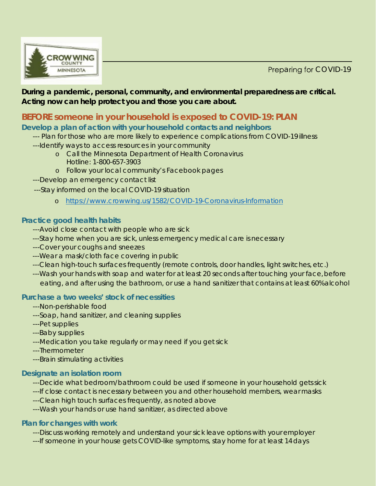Preparing for COVID-19



#### **During a pandemic, personal, community, and environmental preparedness are critical. Acting now can help protect you and those you care about.**

# **BEFORE someone in your household is exposed to COVID-19: PLAN**

## **Develop a plan of action with your household contacts and neighbors**

- --- Plan for those who are more likely to experience complications from COVID-19 illness
- ---Identify ways to access resources in your community
	- o Call the Minnesota Department of Health Coronavirus Hotline: [1-800-657-3903](http://www.co.wright.mn.us/948/resources)
	- o Follow your local community's Facebook pages
- ---Develop an emergency contact list
- ---Stay informed on the local COVID-19 situation
	- o [https://www.crowwing.us/1582/COVID-19-Coronavirus-Information](http://www.crowwing.us/1582/COVID-19-Coronavirus-Information)

## **Practice good health habits**

- ---Avoid close contact with people who are sick
- ---Stay home when you are sick, unless emergency medical care is necessary
- ---Cover your coughs and sneezes
- ---Wear a mask/cloth face covering in public
- ---Clean high-touch surfaces frequently (remote controls, door handles, light switches, etc.)
- ---Wash your hands with soap and water for at least 20 seconds after touching your face, before eating, and after using the bathroom, or use a hand sanitizer that contains at least 60%alcohol

## **Purchase a two weeks' stock of necessities**

- ---Non-perishable food
- ---Soap, hand sanitizer, and cleaning supplies
- ---Pet supplies
- ---Baby supplies
- ---Medication you take regularly or may need if you get sick
- ---Thermometer
- ---Brain stimulating activities

# **Designate an isolation room**

- ---Decide what bedroom/bathroom could be used if someone in your household getssick
- ---If close contact is necessary between you and other household members, wear masks
- ---Clean high touch surfaces frequently, as noted above
- ---Wash your hands or use hand sanitizer, as directed above

## **Plan for changes with work**

- ---Discuss working remotely and understand your sick leave options with your employer
- ---If someone in your house gets COVID-like symptoms, stay home for at least 14days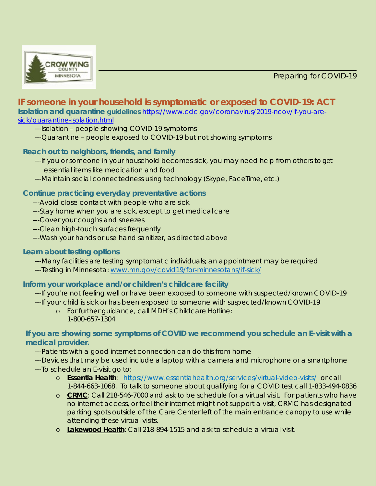Preparing for COVID-19



# **IF someone in your household is symptomatic or exposed to COVID-19: ACT**

**Isolation and quarantine guidelines** [https://www.cdc.gov/coronavirus/2019-ncov/if-you-are](https://www.cdc.gov/coronavirus/2019-ncov/if-you-are-sick/quarantine-isolation.html)[sick/quarantine-isolation.html](https://www.cdc.gov/coronavirus/2019-ncov/if-you-are-sick/quarantine-isolation.html)

---Isolation – people showing COVID-19 symptoms

---Quarantine – people exposed to COVID-19 but not showing symptoms

#### **Reach out to neighbors, friends, and family**

- ---If you or someone in your household becomes sick, you may need help from others to get essential items like medication and food
- ---Maintain social connectedness using technology (Skype, FaceTime, etc.)

#### **Continue practicing everyday preventative actions**

- ---Avoid close contact with people who are sick
- ---Stay home when you are sick, except to get medical care
- ---Cover your coughs and sneezes
- ---Clean high-touch surfaces frequently
- ---Wash your hands or use hand sanitizer, as directed above

#### **Learn about testing options**

---Many facilities are testing symptomatic individuals; an appointment may be required

---Testing in Minnesota: [www.mn.gov/covid19/for-minnesotans/if-sick/](http://www.mn.gov/covid19/for-minnesotans/if-sick/)

#### **Inform your workplace and/or children's childcare facility**

 ---If you're not feeling well or have been exposed to someone with suspected/known COVID-19 ---If your child is sick or has been exposed to someone with suspected/known COVID-19

o For further guidance, call MDH's Childcare Hotline: 1-800-657-1304

#### **If you are showing some symptoms of COVID we recommend you schedule an E-visit with a medical provider.**

---Patients with a good internet connection can do this from home

---Devices that may be used include a laptop with a camera and microphone or a smartphone

- ---To schedule an E-visit go to:
	- o **Essentia Health**: <https://www.essentiahealth.org/services/virtual-video-visits/> or call 1-844-663-1068. To talk to someone about qualifying for a COVID test call 1-833-494-0836
	- o **CRMC**: Call 218-546-7000 and ask to be schedule for a virtual visit. For patients who have no internet access, or feel their internet might not support a visit, CRMC has designated parking spots outside of the Care Center left of the main entrance canopy to use while attending these virtual visits.
	- o **Lakewood Health**: Call 218-894-1515 and ask to schedule a virtual visit.